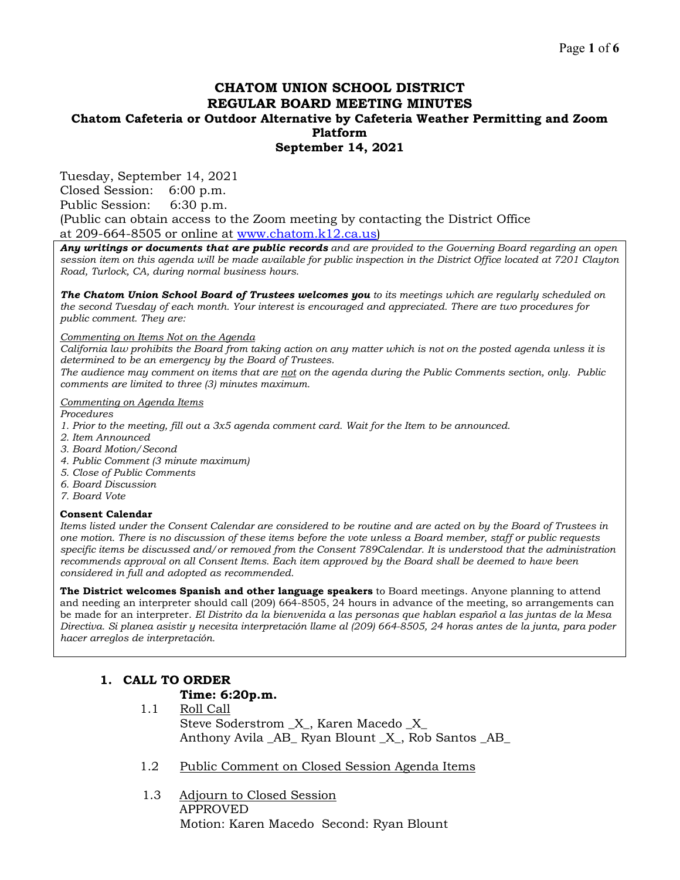# **CHATOM UNION SCHOOL DISTRICT REGULAR BOARD MEETING MINUTES Chatom Cafeteria or Outdoor Alternative by Cafeteria Weather Permitting and Zoom Platform September 14, 2021**

Tuesday, September 14, 2021

Closed Session: 6:00 p.m. Public Session: 6:30 p.m.

(Public can obtain access to the Zoom meeting by contacting the District Office at 209-664-8505 or online at [www.chatom.k12.ca.us\)](http://www.chatom.k12.ca.us/)

*Any writings or documents that are public records and are provided to the Governing Board regarding an open session item on this agenda will be made available for public inspection in the District Office located at 7201 Clayton Road, Turlock, CA, during normal business hours.*

*The Chatom Union School Board of Trustees welcomes you to its meetings which are regularly scheduled on the second Tuesday of each month. Your interest is encouraged and appreciated. There are two procedures for public comment. They are:*

#### *Commenting on Items Not on the Agenda*

*California law prohibits the Board from taking action on any matter which is not on the posted agenda unless it is determined to be an emergency by the Board of Trustees.*

*The audience may comment on items that are not on the agenda during the Public Comments section, only. Public comments are limited to three (3) minutes maximum.*

#### *Commenting on Agenda Items*

*Procedures* 

- *1. Prior to the meeting, fill out a 3x5 agenda comment card. Wait for the Item to be announced.*
- *2. Item Announced*
- *3. Board Motion/Second*
- *4. Public Comment (3 minute maximum)*
- *5. Close of Public Comments*
- *6. Board Discussion*
- *7. Board Vote*

#### **Consent Calendar**

*Items listed under the Consent Calendar are considered to be routine and are acted on by the Board of Trustees in one motion. There is no discussion of these items before the vote unless a Board member, staff or public requests specific items be discussed and/or removed from the Consent 789Calendar. It is understood that the administration recommends approval on all Consent Items. Each item approved by the Board shall be deemed to have been considered in full and adopted as recommended.*

**The District welcomes Spanish and other language speakers** to Board meetings. Anyone planning to attend and needing an interpreter should call (209) 664-8505, 24 hours in advance of the meeting, so arrangements can be made for an interpreter. *El Distrito da la bienvenida a las personas que hablan español a las juntas de la Mesa Directiva. Si planea asistir y necesita interpretación llame al (209) 664-8505, 24 horas antes de la junta, para poder hacer arreglos de interpretación.*

## **1. CALL TO ORDER**

## **Time: 6:20p.m.**

- 1.1 Roll Call Steve Soderstrom  $\,$  X  $\,$  , Karen Macedo  $\,$  X  $\,$ Anthony Avila \_AB\_ Ryan Blount \_X\_, Rob Santos \_AB\_
- 1.2 Public Comment on Closed Session Agenda Items
- 1.3 Adjourn to Closed Session APPROVED Motion: Karen Macedo Second: Ryan Blount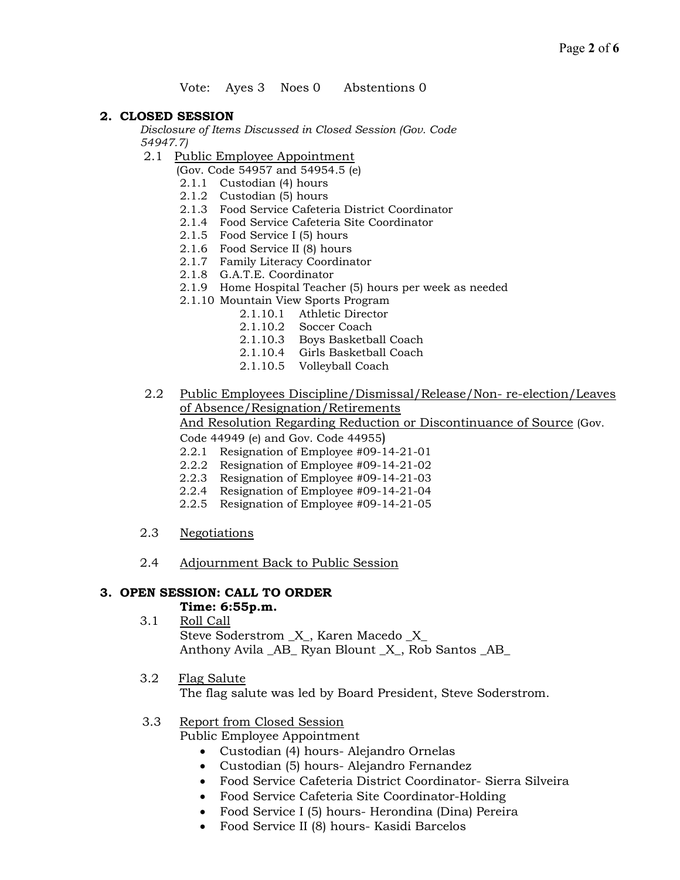## Vote: Ayes 3 Noes 0 Abstentions 0

## **2. CLOSED SESSION**

*Disclosure of Items Discussed in Closed Session (Gov. Code 54947.7)*

- 2.1 Public Employee Appointment
	- (Gov. Code 54957 and 54954.5 (e)
		- 2.1.1 Custodian (4) hours
		- 2.1.2 Custodian (5) hours
		- 2.1.3 Food Service Cafeteria District Coordinator
		- 2.1.4 Food Service Cafeteria Site Coordinator
		- 2.1.5 Food Service I (5) hours
		- 2.1.6 Food Service II (8) hours
		- 2.1.7 Family Literacy Coordinator
		- 2.1.8 G.A.T.E. Coordinator
	- 2.1.9 Home Hospital Teacher (5) hours per week as needed
	- 2.1.10 Mountain View Sports Program
		- 2.1.10.1 Athletic Director
			- 2.1.10.2 Soccer Coach
			- 2.1.10.3 Boys Basketball Coach
			- 2.1.10.4 Girls Basketball Coach
			- 2.1.10.5 Volleyball Coach

 2.2 Public Employees Discipline/Dismissal/Release/Non- re-election/Leaves of Absence/Resignation/Retirements

And Resolution Regarding Reduction or Discontinuance of Source (Gov.

Code 44949 (e) and Gov. Code 44955)

- 2.2.1 Resignation of Employee #09-14-21-01
- 2.2.2 Resignation of Employee #09-14-21-02
- 2.2.3 Resignation of Employee #09-14-21-03
- 2.2.4 Resignation of Employee #09-14-21-04
- 2.2.5 Resignation of Employee #09-14-21-05
- 2.3 Negotiations
- 2.4 Adjournment Back to Public Session

## **3. OPEN SESSION: CALL TO ORDER**

## **Time: 6:55p.m.**

- 3.1 Roll Call Steve Soderstrom \_X\_, Karen Macedo \_X\_ Anthony Avila AB Ryan Blount X, Rob Santos AB
- 3.2 Flag Salute The flag salute was led by Board President, Steve Soderstrom.

# 3.3 Report from Closed Session

Public Employee Appointment

- Custodian (4) hours- Alejandro Ornelas
- Custodian (5) hours- Alejandro Fernandez
- Food Service Cafeteria District Coordinator- Sierra Silveira
- Food Service Cafeteria Site Coordinator-Holding
- Food Service I (5) hours- Herondina (Dina) Pereira
- Food Service II (8) hours- Kasidi Barcelos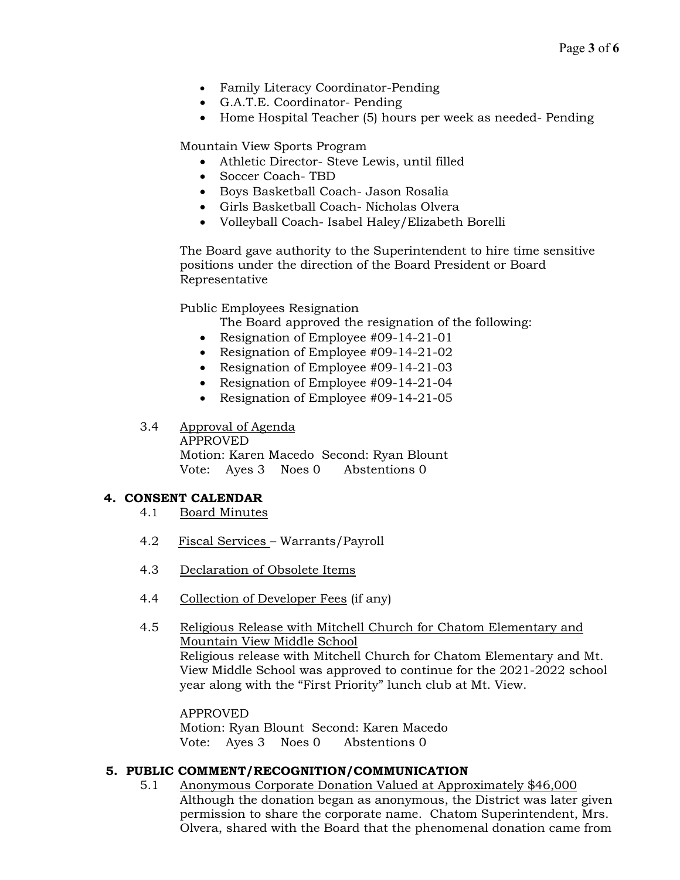- Family Literacy Coordinator-Pending
- G.A.T.E. Coordinator- Pending
- Home Hospital Teacher (5) hours per week as needed-Pending

Mountain View Sports Program

- Athletic Director- Steve Lewis, until filled
- Soccer Coach- TBD
- Boys Basketball Coach- Jason Rosalia
- Girls Basketball Coach- Nicholas Olvera
- Volleyball Coach- Isabel Haley/Elizabeth Borelli

The Board gave authority to the Superintendent to hire time sensitive positions under the direction of the Board President or Board Representative

Public Employees Resignation

- The Board approved the resignation of the following:
- Resignation of Employee #09-14-21-01
- Resignation of Employee #09-14-21-02
- Resignation of Employee #09-14-21-03
- Resignation of Employee #09-14-21-04
- Resignation of Employee #09-14-21-05

## 3.4 Approval of Agenda

APPROVED Motion: Karen Macedo Second: Ryan Blount Vote: Ayes 3 Noes 0 Abstentions 0

## **4. CONSENT CALENDAR**

- 4.1 Board Minutes
- 4.2 Fiscal Services Warrants/Payroll
- 4.3 Declaration of Obsolete Items
- 4.4 Collection of Developer Fees (if any)
- 4.5 Religious Release with Mitchell Church for Chatom Elementary and Mountain View Middle School Religious release with Mitchell Church for Chatom Elementary and Mt. View Middle School was approved to continue for the 2021-2022 school year along with the "First Priority" lunch club at Mt. View.

APPROVED Motion: Ryan Blount Second: Karen Macedo Vote: Ayes 3 Noes 0 Abstentions 0

## **5. PUBLIC COMMENT/RECOGNITION/COMMUNICATION**

5.1 Anonymous Corporate Donation Valued at Approximately \$46,000 Although the donation began as anonymous, the District was later given permission to share the corporate name. Chatom Superintendent, Mrs. Olvera, shared with the Board that the phenomenal donation came from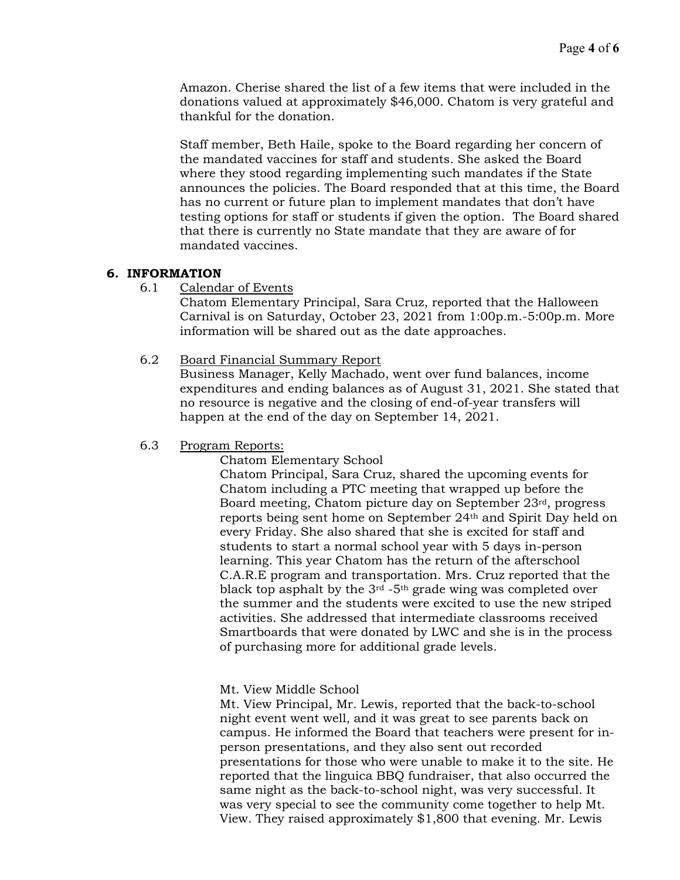Amazon. Cherise shared the list of a few items that were included in the donations valued at approximately \$46,000. Chatom is very grateful and thankful for the donation.

Staff member, Beth Haile, spoke to the Board regarding her concern of the mandated vaccines for staff and students. She asked the Board where they stood regarding implementing such mandates if the State announces the policies. The Board responded that at this time, the Board has no current or future plan to implement mandates that don't have testing options for staff or students if given the option. The Board shared that there is currently no State mandate that they are aware of for mandated vaccines.

## **6. INFORMATION**

6.1 Calendar of Events

Chatom Elementary Principal, Sara Cruz, reported that the Halloween Carnival is on Saturday, October 23, 2021 from 1:00p.m.-5:00p.m. More information will be shared out as the date approaches.

## 6.2 Board Financial Summary Report

Business Manager, Kelly Machado, went over fund balances, income expenditures and ending balances as of August 31, 2021. She stated that no resource is negative and the closing of end-of-year transfers will happen at the end of the day on September 14, 2021.

## 6.3 Program Reports:

Chatom Elementary School

Chatom Principal, Sara Cruz, shared the upcoming events for Chatom including a PTC meeting that wrapped up before the Board meeting, Chatom picture day on September 23rd, progress reports being sent home on September 24th and Spirit Day held on every Friday. She also shared that she is excited for staff and students to start a normal school year with 5 days in-person learning. This year Chatom has the return of the afterschool C.A.R.E program and transportation. Mrs. Cruz reported that the black top asphalt by the  $3<sup>rd</sup>$  -5<sup>th</sup> grade wing was completed over the summer and the students were excited to use the new striped activities. She addressed that intermediate classrooms received Smartboards that were donated by LWC and she is in the process of purchasing more for additional grade levels.

Mt. View Middle School

Mt. View Principal, Mr. Lewis, reported that the back-to-school night event went well, and it was great to see parents back on campus. He informed the Board that teachers were present for inperson presentations, and they also sent out recorded presentations for those who were unable to make it to the site. He reported that the linguica BBQ fundraiser, that also occurred the same night as the back-to-school night, was very successful. It was very special to see the community come together to help Mt. View. They raised approximately \$1,800 that evening. Mr. Lewis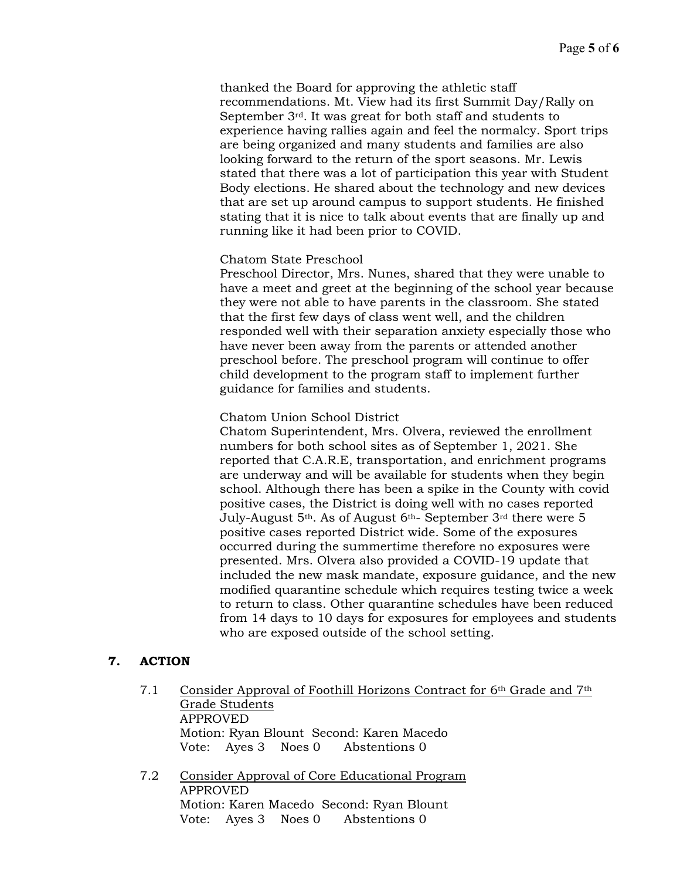thanked the Board for approving the athletic staff recommendations. Mt. View had its first Summit Day/Rally on September 3rd. It was great for both staff and students to experience having rallies again and feel the normalcy. Sport trips are being organized and many students and families are also looking forward to the return of the sport seasons. Mr. Lewis stated that there was a lot of participation this year with Student Body elections. He shared about the technology and new devices that are set up around campus to support students. He finished stating that it is nice to talk about events that are finally up and running like it had been prior to COVID.

## Chatom State Preschool

Preschool Director, Mrs. Nunes, shared that they were unable to have a meet and greet at the beginning of the school year because they were not able to have parents in the classroom. She stated that the first few days of class went well, and the children responded well with their separation anxiety especially those who have never been away from the parents or attended another preschool before. The preschool program will continue to offer child development to the program staff to implement further guidance for families and students.

## Chatom Union School District

Chatom Superintendent, Mrs. Olvera, reviewed the enrollment numbers for both school sites as of September 1, 2021. She reported that C.A.R.E, transportation, and enrichment programs are underway and will be available for students when they begin school. Although there has been a spike in the County with covid positive cases, the District is doing well with no cases reported July-August 5th. As of August 6th- September 3rd there were 5 positive cases reported District wide. Some of the exposures occurred during the summertime therefore no exposures were presented. Mrs. Olvera also provided a COVID-19 update that included the new mask mandate, exposure guidance, and the new modified quarantine schedule which requires testing twice a week to return to class. Other quarantine schedules have been reduced from 14 days to 10 days for exposures for employees and students who are exposed outside of the school setting.

# **7. ACTION**

- 7.1 Consider Approval of Foothill Horizons Contract for 6th Grade and 7th Grade Students APPROVED Motion: Ryan Blount Second: Karen Macedo Vote: Ayes 3 Noes 0 Abstentions 0
- 7.2 Consider Approval of Core Educational Program APPROVED Motion: Karen Macedo Second: Ryan Blount Vote: Ayes 3 Noes 0 Abstentions 0